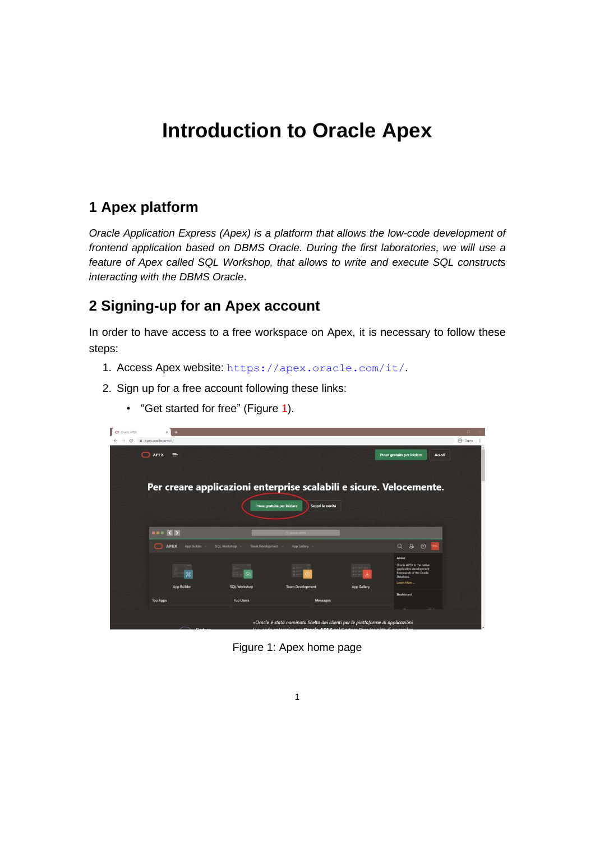# **Introduction to Oracle Apex**

## **1 Apex platform**

*Oracle Application Express (Apex) is a platform that allows the low-code development of frontend application based on DBMS Oracle. During the first laboratories, we will use a feature of Apex called SQL Workshop, that allows to write and execute SQL constructs interacting with the DBMS Oracle*.

## **2 Signing-up for an Apex account**

In order to have access to a free workspace on Apex, it is necessary to follow these steps:

- 1. Access Apex website: <https://apex.oracle.com/it/>.
- 2. Sign up for a free account following these links:
	- "Get started for free" (Figure 1).



Figure 1: Apex home page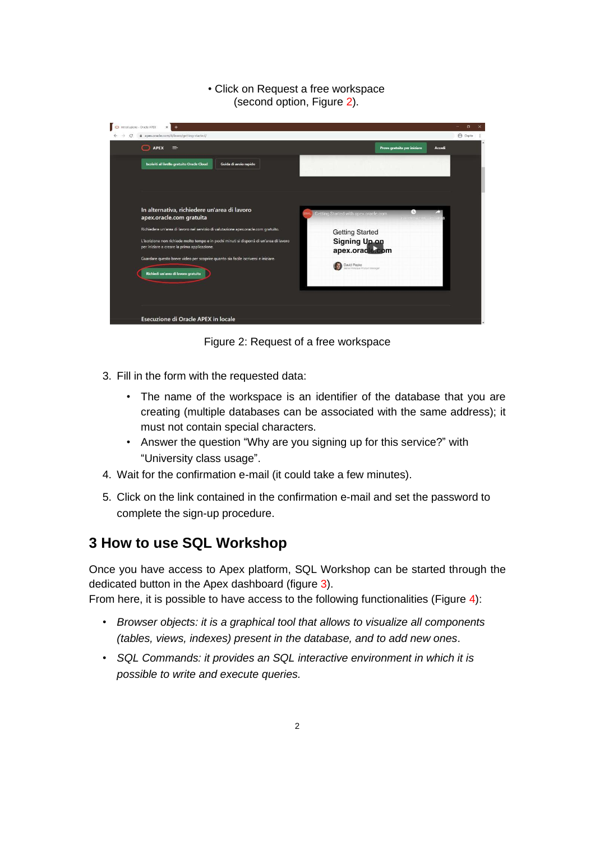#### • Click on Request a free workspace (second option, Figure 2).



Figure 2: Request of a free workspace

- 3. Fill in the form with the requested data:
	- The name of the workspace is an identifier of the database that you are creating (multiple databases can be associated with the same address); it must not contain special characters.
	- Answer the question "Why are you signing up for this service?" with "University class usage".
- 4. Wait for the confirmation e-mail (it could take a few minutes).
- 5. Click on the link contained in the confirmation e-mail and set the password to complete the sign-up procedure.

## **3 How to use SQL Workshop**

Once you have access to Apex platform, SQL Workshop can be started through the dedicated button in the Apex dashboard (figure 3).

From here, it is possible to have access to the following functionalities (Figure 4):

- *Browser objects: it is a graphical tool that allows to visualize all components (tables, views, indexes) present in the database, and to add new ones*.
- *SQL Commands: it provides an SQL interactive environment in which it is possible to write and execute queries.*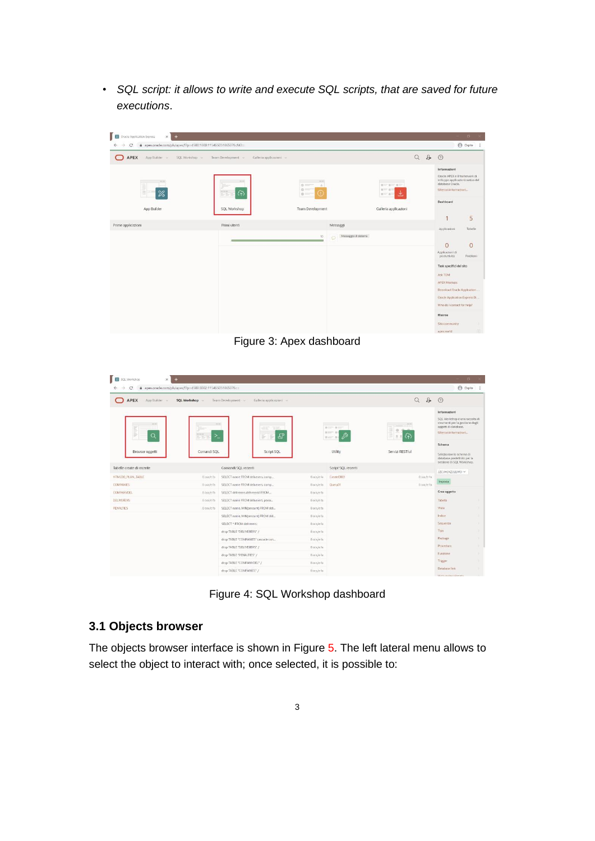• *SQL script: it allows to write and execute SQL scripts, that are saved for future executions*.



Figure 3: Apex dashboard

| 図<br>SQL Workshop<br>÷<br>$\times$                                                |                               |                                            |            |                                                                                                                                                                                         |                        |                | $\Box$                                                                                                                                                                                                   |
|-----------------------------------------------------------------------------------|-------------------------------|--------------------------------------------|------------|-----------------------------------------------------------------------------------------------------------------------------------------------------------------------------------------|------------------------|----------------|----------------------------------------------------------------------------------------------------------------------------------------------------------------------------------------------------------|
| @ apex.oracle.com/pls/apex/f?p=4500:3002:115465051865076::::<br>C<br>$\leftarrow$ |                               |                                            |            |                                                                                                                                                                                         |                        |                | <b>e</b> Ospite                                                                                                                                                                                          |
| <b>APEX</b><br>App Builder                                                        | <b>SQL Workshop</b>           | Team Development<br>Galleria applicazioni  |            |                                                                                                                                                                                         | $\alpha$               | $\mathfrak{B}$ | $\odot$                                                                                                                                                                                                  |
| $-0.00$<br>$\alpha$<br>÷<br>Browser oggetti                                       | $-0.00$<br>- -<br>Comandi SQL | æ<br>$\Rightarrow$<br>Ð<br>B<br>Script SQL |            | <b>Service</b><br>Room Room<br>$H = -11$<br>$\frac{1}{2} \frac{1}{2} \frac{1}{2} \frac{1}{2} \frac{1}{2} \frac{1}{2} \cdots \frac{1}{2} \frac{1}{2} \frac{1}{2} \frac{1}{2}$<br>Utility | 0.1<br>Servizi RESTful |                | Informazioni<br>SQL Workshop è una raccolta di<br>strumenti per la gestione degli<br>oggetti di database.<br>Ulteriori informazioni<br>Schema<br>Selezionare lo schema di<br>database predefinito per la |
| Tabelle create di recente                                                         |                               | Comandi SOL recenti                        |            | Script SQL recenti                                                                                                                                                                      |                        |                | sessione di SQL Workshop.                                                                                                                                                                                |
| <b>HTMLDB_PLAN_TABLE</b>                                                          | 8 ora/e fa                    | SELECT name FROM deliverers, comp          | B ora/e fa | CreateDB01                                                                                                                                                                              |                        | 8 ora/e fa     | JZCVHJXZOZLWO ~                                                                                                                                                                                          |
| <b>COMPANIES</b>                                                                  | 8 ora/e fa                    | SELECT name FROM deliverers, comp          | B ora/e fa | QueryOT                                                                                                                                                                                 |                        | Biora/e fa     | Imposta                                                                                                                                                                                                  |
| COMPANYDEL                                                                        | 8 ora/e fa                    | SELECT deliverers.delivererid FROM         | B ora/e fa |                                                                                                                                                                                         |                        |                | Crea oggetto                                                                                                                                                                                             |
| <b>DELIVERERS</b>                                                                 | 8 oca/e fa                    | SELECT name FROM deliverers, pena          | B ora/e fa |                                                                                                                                                                                         |                        |                | Tabella                                                                                                                                                                                                  |
| <b>PENALTIES</b>                                                                  | 8 ora/e fa                    | SELECT name, MIN(amount) FROM del          | 8 ora/e fa |                                                                                                                                                                                         |                        |                | Vista                                                                                                                                                                                                    |
|                                                                                   |                               | SELECT name, MIN(amount) FROM del          | 8 ora/e fa |                                                                                                                                                                                         |                        |                | Indice                                                                                                                                                                                                   |
|                                                                                   |                               | SELECT * FROM deliverers:                  | Bora/e fa  |                                                                                                                                                                                         |                        |                | Seguenza                                                                                                                                                                                                 |
|                                                                                   |                               | drop TABLE "DELIVERERS" /                  | B ora/e fa |                                                                                                                                                                                         |                        |                | Tipo                                                                                                                                                                                                     |
|                                                                                   |                               | drop TABLE "COMPANIES" cascade con         | 8 ora/e fa |                                                                                                                                                                                         |                        |                | Package                                                                                                                                                                                                  |
|                                                                                   |                               | drop TABLE "DELIVERERS" /                  | 8 ora/e fa |                                                                                                                                                                                         |                        |                | Procedura<br>Funzione                                                                                                                                                                                    |
|                                                                                   |                               | drop TABLE "PENALTIES" /                   | 8 ora/e fa |                                                                                                                                                                                         |                        |                | Trigger                                                                                                                                                                                                  |
|                                                                                   |                               | drop TABLE "COMPANYDEL" /                  | 8 ora/e fa |                                                                                                                                                                                         |                        |                | Database link                                                                                                                                                                                            |
|                                                                                   |                               | drop TABLE "COMPANIES" /                   | Sora/e ta  |                                                                                                                                                                                         |                        |                |                                                                                                                                                                                                          |

Figure 4: SQL Workshop dashboard

#### **3.1 Objects browser**

The objects browser interface is shown in Figure 5. The left lateral menu allows to select the object to interact with; once selected, it is possible to: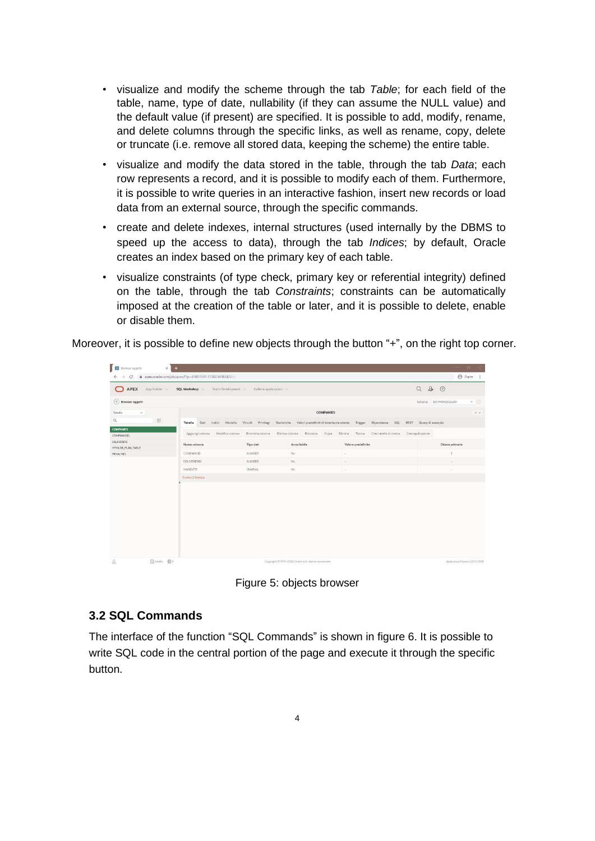- visualize and modify the scheme through the tab *Table*; for each field of the table, name, type of date, nullability (if they can assume the NULL value) and the default value (if present) are specified. It is possible to add, modify, rename, and delete columns through the specific links, as well as rename, copy, delete or truncate (i.e. remove all stored data, keeping the scheme) the entire table.
- visualize and modify the data stored in the table, through the tab *Data*; each row represents a record, and it is possible to modify each of them. Furthermore, it is possible to write queries in an interactive fashion, insert new records or load data from an external source, through the specific commands.
- create and delete indexes, internal structures (used internally by the DBMS to speed up the access to data), through the tab *Indices*; by default, Oracle creates an index based on the primary key of each table.
- visualize constraints (of type check, primary key or referential integrity) defined on the table, through the tab *Constraints*; constraints can be automatically imposed at the creation of the table or later, and it is possible to delete, enable or disable them.

Moreover, it is possible to define new objects through the button "+", on the right top corner.

| Browser.oggetti<br>$\times$ +           |                                                           |                                     |                                                         |                                                                 | $\mathbf{E}$                                |
|-----------------------------------------|-----------------------------------------------------------|-------------------------------------|---------------------------------------------------------|-----------------------------------------------------------------|---------------------------------------------|
| $\leftarrow$<br>c<br>$\rightarrow$      | @ apex.oracle.com/pls/apex/f?p=4500:1001:1720234083422 -- |                                     |                                                         |                                                                 | <b>B</b> Ospite i                           |
| <b>APEX</b><br>App Builder<br>$\bullet$ | SQL Workshop<br>Team Development                          | Galleria applicazioni               |                                                         |                                                                 | $\mathcal{L}_{\neq}$<br>$\alpha$<br>$\circ$ |
| (1) Browser oggetti                     |                                                           |                                     |                                                         |                                                                 | $\times$ 0<br>JZCVHJXZOZLWO<br>Schema       |
| Tabelle<br>$\mathcal{M}$                |                                                           |                                     | <b>COMPANIES</b>                                        |                                                                 | $+$ $-$                                     |
| $\boxdot$<br>Q                          | Tabella<br>Dati<br>Modello<br>Indici                      | Vincoll<br>Statistiche<br>Privilegi |                                                         | Valori predefiniti di interfaccia utente Trigger Dipendenze SQL | REST Query di esempio                       |
| <b>COMPANIES</b><br>COMPANYDEL          | Modifica colonna<br>Aggiungi colonna                      | Rinomina colonna                    | Elimina colonna<br>Rinomina<br>Copia                    | Elimina.<br>Tronca<br>Crea tabella di ricerca                   | Crea applicazione                           |
| <b>DELIVERERS</b><br>HTMLDB_PLAN_TABLE  | Nome colonna                                              | Tipo dati                           | Annullabile                                             | Valore predefinito                                              | Chiave primaria                             |
| PENALTIES                               | COMPANYID                                                 | NUMBER                              | No.                                                     | ×                                                               |                                             |
|                                         | DELIVERERID                                               | NUMBER                              | No                                                      | ٠                                                               | $\sim$                                      |
|                                         | MANDATE                                                   | CHAR(6)                             | No                                                      | ×                                                               | ×                                           |
|                                         | Scarica   Stampa                                          |                                     |                                                         |                                                                 |                                             |
|                                         |                                                           |                                     |                                                         |                                                                 |                                             |
| $\mathfrak{L}$<br>日bdabs 申i             |                                                           |                                     | Copyright (3 1999-2020, Oracle e/o relative consociate) |                                                                 | Application Express 2010,0011               |

Figure 5: objects browser

#### **3.2 SQL Commands**

The interface of the function "SQL Commands" is shown in figure 6. It is possible to write SQL code in the central portion of the page and execute it through the specific button.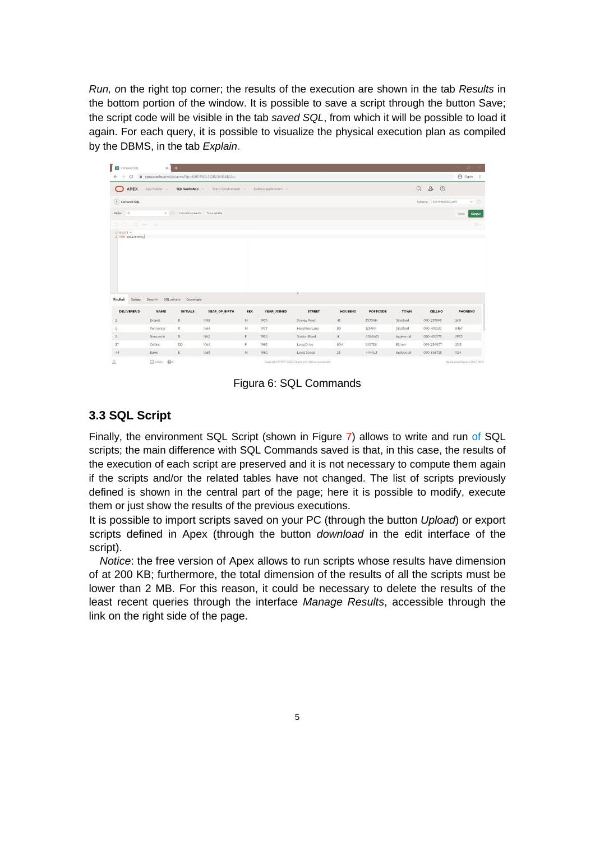*Run, o*n the right top corner; the results of the execution are shown in the tab *Results* in the bottom portion of the window. It is possible to save a script through the button Save; the script code will be visible in the tab *saved SQL*, from which it will be possible to load it again. For each query, it is possible to visualize the physical execution plan as compiled by the DBMS, in the tab *Explain*.

|                                                         | $\times$    | $+$                                  |                                                         |                |                       |                |                |                 |             |                           |                   |
|---------------------------------------------------------|-------------|--------------------------------------|---------------------------------------------------------|----------------|-----------------------|----------------|----------------|-----------------|-------------|---------------------------|-------------------|
| $\leftarrow$<br>$\rightarrow$<br>C.                     |             |                                      | @ apex.oracle.com/pls/apex/f?p=4500:1003:1720234083422= |                |                       |                |                |                 |             |                           | <b>●</b> Ospite : |
| ◠<br>APEX                                               | App Builder | SQL Workshop                         | Team Development                                        |                | Galleria applicazioni |                |                |                 |             | $Q \quad 2 \star \quad 0$ |                   |
| $(+)$ Comandi SQL                                       |             |                                      |                                                         |                |                       |                |                |                 |             | Schema JZCVHJXZOZLWO      | $\times$ 0        |
| Righe 10                                                |             | v (7) Cancella comando Trova tabelle |                                                         |                |                       |                |                |                 |             |                           | Esegui<br>Salva   |
| 5.5.0                                                   |             |                                      |                                                         |                |                       |                |                |                 |             |                           | 通り                |
| 1 SELECT *<br>2 FROM deliverers;                        |             |                                      |                                                         |                |                       |                |                |                 |             |                           |                   |
|                                                         |             |                                      |                                                         |                |                       |                |                |                 |             |                           |                   |
|                                                         |             |                                      |                                                         |                |                       | ٠              |                |                 |             |                           |                   |
| Risultati<br>Spiega                                     |             | Descrivi SQL salvato Cronologia      |                                                         |                |                       |                |                |                 |             |                           |                   |
|                                                         | <b>NAME</b> | <b>INITIALS</b>                      | YEAR_OF_BIRTH                                           | <b>SEX</b>     | YEAR_JOINED           | <b>STREET</b>  | <b>HOUSENO</b> | <b>POSTCODE</b> | <b>TOWN</b> | <b>CELLNO</b>             |                   |
|                                                         | Everett     | R                                    | 1948                                                    | M              | 1975                  | Stoney Road    | 43             | 3575NH          | Stratford   | 070-237893                | 2411              |
|                                                         | Parmenter   | R                                    | 1964                                                    | M              | 1977                  | Haseltine Lane | 80             | 1234KK          | Stratford   | 070-476537                | 8467              |
| <b>DELIVERERID</b><br>$\overline{2}$<br>6<br>$_{\rm 8}$ | Newcastle   | B                                    | 1962                                                    | $\mathbb{R}^3$ | 1980                  | Station Road   | $4^{\circ}$    | 6584WO          | Inglewood   | 070-476573                | 2983              |
| $27\,$                                                  | Collins     | <b>DD</b>                            | 1964                                                    | F.             | 1983                  | Long Drive     | 804            | 8457DK          | Eltham      | 079-234857                | PHONENO<br>2513   |

Figura 6: SQL Commands

#### **3.3 SQL Script**

Finally, the environment SQL Script (shown in Figure 7) allows to write and run of SQL scripts; the main difference with SQL Commands saved is that, in this case, the results of the execution of each script are preserved and it is not necessary to compute them again if the scripts and/or the related tables have not changed. The list of scripts previously defined is shown in the central part of the page; here it is possible to modify, execute them or just show the results of the previous executions.

It is possible to import scripts saved on your PC (through the button *Upload*) or export scripts defined in Apex (through the button *download* in the edit interface of the script).

*Notice*: the free version of Apex allows to run scripts whose results have dimension of at 200 KB; furthermore, the total dimension of the results of all the scripts must be lower than 2 MB. For this reason, it could be necessary to delete the results of the least recent queries through the interface *Manage Results*, accessible through the link on the right side of the page.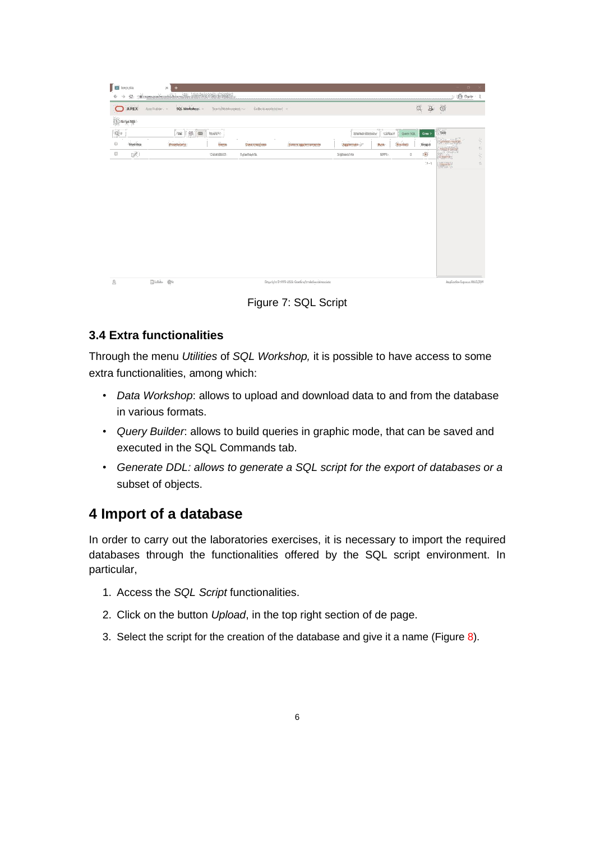|                              | @ apex.oracle.com/pls/apex/f?p=4500:1004:1720234083422 == |                  |                         |                      |                   |          |           |          | $\Box$<br>$\bigoplus$ Ospite :     |
|------------------------------|-----------------------------------------------------------|------------------|-------------------------|----------------------|-------------------|----------|-----------|----------|------------------------------------|
| С<br>$\rightarrow$           |                                                           |                  |                         |                      |                   |          |           |          |                                    |
| <b>O</b> APEX                | App Builder. v<br>SQL Workshop                            | Team Development | Galleria applicazioni » |                      |                   |          |           | 200<br>Q |                                    |
| $\textcircled{1}$ Script SQL |                                                           |                  |                         |                      |                   |          |           |          |                                    |
| $Q \vee$                     | $\frac{100}{100}$<br>$\qquad \qquad \boxplus$<br>Val      | Azioni >         |                         |                      | Elimina selezione | Carica > | Quick SQL | Crea     | <b>Task</b>                        |
| Modifica                     | Proprietario                                              | Nome             | <b>Data</b> creazione   | Autore aggiornamento | Aggiornato F      | Byte     | Risultati | Esegui   | Gestisci risultati<br>Mostra quote |
| $\mathbb Z$                  |                                                           | CreateDB01       | 3 giorno/i fa           |                      | 3 giorno/i fa     | 5,979    | $\,$ $\,$ | $\odot$  | Esporta                            |
|                              |                                                           |                  |                         |                      |                   |          |           | $1 - 1$  | Importa                            |
|                              |                                                           |                  |                         |                      |                   |          |           |          |                                    |
|                              |                                                           |                  |                         |                      |                   |          |           |          |                                    |
|                              |                                                           |                  |                         |                      |                   |          |           |          |                                    |
|                              |                                                           |                  |                         |                      |                   |          |           |          |                                    |
|                              |                                                           |                  |                         |                      |                   |          |           |          |                                    |
|                              |                                                           |                  |                         |                      |                   |          |           |          |                                    |
|                              |                                                           |                  |                         |                      |                   |          |           |          |                                    |
|                              |                                                           |                  |                         |                      |                   |          |           |          |                                    |
|                              |                                                           |                  |                         |                      |                   |          |           |          |                                    |
|                              |                                                           |                  |                         |                      |                   |          |           |          |                                    |
|                              |                                                           |                  |                         |                      |                   |          |           |          |                                    |
|                              |                                                           |                  |                         |                      |                   |          |           |          |                                    |
|                              |                                                           |                  |                         |                      |                   |          |           |          |                                    |
|                              |                                                           |                  |                         |                      |                   |          |           |          |                                    |
|                              |                                                           |                  |                         |                      |                   |          |           |          |                                    |
|                              |                                                           |                  |                         |                      |                   |          |           |          |                                    |
|                              |                                                           |                  |                         |                      |                   |          |           |          |                                    |
|                              |                                                           |                  |                         |                      |                   |          |           |          |                                    |

Figure 7: SQL Script

#### **3.4 Extra functionalities**

Through the menu *Utilities* of *SQL Workshop,* it is possible to have access to some extra functionalities, among which:

- *Data Workshop*: allows to upload and download data to and from the database in various formats.
- *Query Builder*: allows to build queries in graphic mode, that can be saved and executed in the SQL Commands tab.
- *Generate DDL: allows to generate a SQL script for the export of databases or a*  subset of objects.

### **4 Import of a database**

In order to carry out the laboratories exercises, it is necessary to import the required databases through the functionalities offered by the SQL script environment. In particular,

- 1. Access the *SQL Script* functionalities.
- 2. Click on the button *Upload*, in the top right section of de page.
- 3. Select the script for the creation of the database and give it a name (Figure 8).